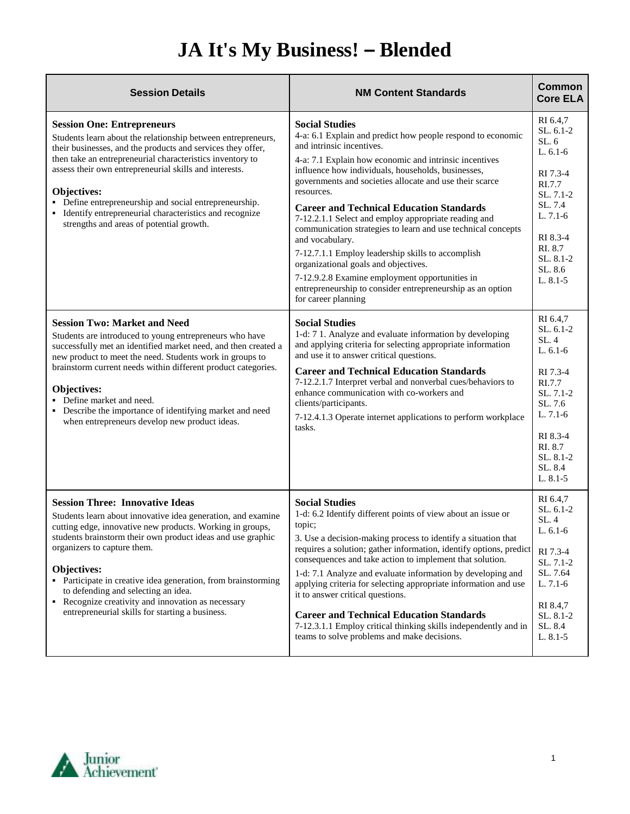## **JA It's My Business! – Blended**

| <b>Session Details</b>                                                                                                                                                                                                                                                                                                                                                                                                                                                                            | <b>NM Content Standards</b>                                                                                                                                                                                                                                                                                                                                                                                                                                                                                                                                                                                                                                                                                                                  | <b>Common</b><br><b>Core ELA</b>                                                                                                                                      |
|---------------------------------------------------------------------------------------------------------------------------------------------------------------------------------------------------------------------------------------------------------------------------------------------------------------------------------------------------------------------------------------------------------------------------------------------------------------------------------------------------|----------------------------------------------------------------------------------------------------------------------------------------------------------------------------------------------------------------------------------------------------------------------------------------------------------------------------------------------------------------------------------------------------------------------------------------------------------------------------------------------------------------------------------------------------------------------------------------------------------------------------------------------------------------------------------------------------------------------------------------------|-----------------------------------------------------------------------------------------------------------------------------------------------------------------------|
| <b>Session One: Entrepreneurs</b><br>Students learn about the relationship between entrepreneurs,<br>their businesses, and the products and services they offer,<br>then take an entrepreneurial characteristics inventory to<br>assess their own entrepreneurial skills and interests.<br>Objectives:<br>• Define entrepreneurship and social entrepreneurship.<br>• Identify entrepreneurial characteristics and recognize<br>strengths and areas of potential growth.                          | <b>Social Studies</b><br>4-a: 6.1 Explain and predict how people respond to economic<br>and intrinsic incentives.<br>4-a: 7.1 Explain how economic and intrinsic incentives<br>influence how individuals, households, businesses,<br>governments and societies allocate and use their scarce<br>resources.<br><b>Career and Technical Education Standards</b><br>7-12.2.1.1 Select and employ appropriate reading and<br>communication strategies to learn and use technical concepts<br>and vocabulary.<br>7-12.7.1.1 Employ leadership skills to accomplish<br>organizational goals and objectives.<br>7-12.9.2.8 Examine employment opportunities in<br>entrepreneurship to consider entrepreneurship as an option<br>for career planning | RI 6.4,7<br>SL. 6.1-2<br>SL.6<br>$L. 6.1-6$<br>RI 7.3-4<br>RI.7.7<br>SL, 7.1-2<br>SL 7.4<br>$L. 7.1-6$<br>RI 8.3-4<br>RI. 8.7<br>SL. 8.1-2<br>SL. 8.6<br>$L. 8.1 - 5$ |
| <b>Session Two: Market and Need</b><br>Students are introduced to young entrepreneurs who have<br>successfully met an identified market need, and then created a<br>new product to meet the need. Students work in groups to<br>brainstorm current needs within different product categories.<br>Objectives:<br>• Define market and need.<br>• Describe the importance of identifying market and need<br>when entrepreneurs develop new product ideas.                                            | <b>Social Studies</b><br>1-d: 7 1. Analyze and evaluate information by developing<br>and applying criteria for selecting appropriate information<br>and use it to answer critical questions.<br><b>Career and Technical Education Standards</b><br>7-12.2.1.7 Interpret verbal and nonverbal cues/behaviors to<br>enhance communication with co-workers and<br>clients/participants.<br>7-12.4.1.3 Operate internet applications to perform workplace<br>tasks.                                                                                                                                                                                                                                                                              | RI 6.4,7<br>$SL. 6.1-2$<br>SL.4<br>$L. 6.1-6$<br>RI 7.3-4<br>RI.7.7<br>SL, 7.1-2<br>SL. 7.6<br>L. 7.1-6<br>RI 8.3-4<br>RI. 8.7<br>SL. 8.1-2<br>SL. 8.4<br>L. 8.1-5    |
| <b>Session Three: Innovative Ideas</b><br>Students learn about innovative idea generation, and examine<br>cutting edge, innovative new products. Working in groups,<br>students brainstorm their own product ideas and use graphic<br>organizers to capture them.<br>Objectives:<br>• Participate in creative idea generation, from brainstorming<br>to defending and selecting an idea.<br>• Recognize creativity and innovation as necessary<br>entrepreneurial skills for starting a business. | <b>Social Studies</b><br>1-d: 6.2 Identify different points of view about an issue or<br>topic;<br>3. Use a decision-making process to identify a situation that<br>requires a solution; gather information, identify options, predict<br>consequences and take action to implement that solution.<br>1-d: 7.1 Analyze and evaluate information by developing and<br>applying criteria for selecting appropriate information and use<br>it to answer critical questions.<br><b>Career and Technical Education Standards</b><br>7-12.3.1.1 Employ critical thinking skills independently and in<br>teams to solve problems and make decisions.                                                                                                | RI 6.4,7<br>SL. 6.1-2<br>SL. 4<br>$L. 6.1-6$<br>RI 7.3-4<br>SL. 7.1-2<br>SL. 7.64<br>$L. 7.1-6$<br>RI 8.4,7<br>SL. 8.1-2<br>SL. 8.4<br>$L. 8.1 - 5$                   |